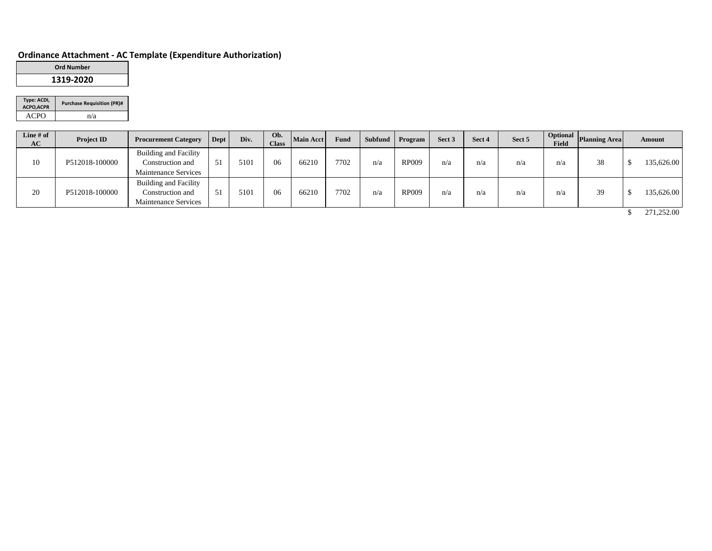# **Ordinance Attachment - AC Template (Expenditure Authorization)**

| <b>Ord Number</b> |
|-------------------|
| 1319-2020         |

| Type: ACDI,<br>ACPO, ACPR | <b>Purchase Requisition (PR)#</b> |
|---------------------------|-----------------------------------|
| ACPO                      | n/a                               |

| Line $#$ of<br>AC | <b>Project ID</b> | <b>Procurement Category</b>                                                     | Dept | Div. | Ob.<br><b>Class</b> | Main Acct | Fund | Subfund | Program      | Sect 3 | Sect 4 | Sect 5 | Field | <b>Depending Service Service Service Service Service Service Service Service Service Service Service Service Service Service Service Service Service Service Service Service Service Service Service Service Service Service Ser</b> | <b>Amount</b> |
|-------------------|-------------------|---------------------------------------------------------------------------------|------|------|---------------------|-----------|------|---------|--------------|--------|--------|--------|-------|--------------------------------------------------------------------------------------------------------------------------------------------------------------------------------------------------------------------------------------|---------------|
| 10                | P512018-100000    | <b>Building and Facility</b><br>Construction and<br><b>Maintenance Services</b> | 51   | 5101 | 06                  | 66210     | 7702 | n/a     | <b>RP009</b> | n/a    | n/a    | n/a    | n/a   | 38                                                                                                                                                                                                                                   | 135,626.00    |
| 20                | P512018-100000    | <b>Building and Facility</b><br>Construction and<br><b>Maintenance Services</b> |      | 5101 | 06                  | 66210     | 7702 | n/a     | <b>RP009</b> | n/a    | n/a    | n/a    | n/a   | 39                                                                                                                                                                                                                                   | 135,626.00    |

\$ 271,252.00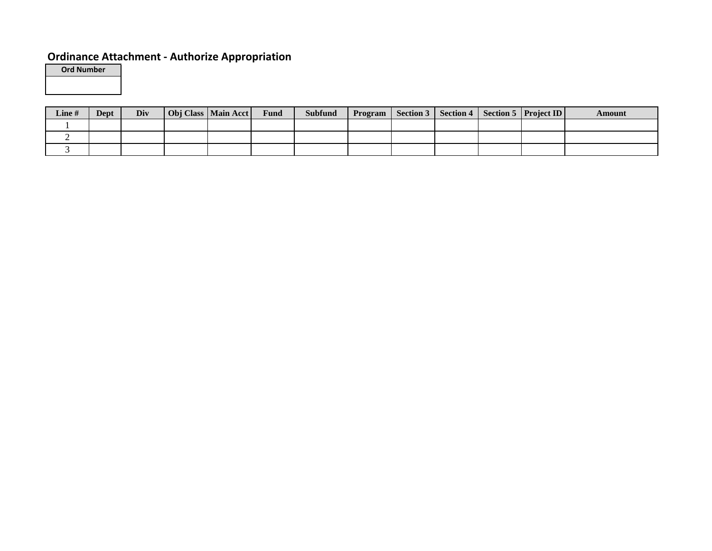# **Ordinance Attachment - Authorize Appropriation**

**Ord Number**

| <b>Line</b> # | Dept | Div | Obj Class   Main Acct | Fund | <b>Subfund</b> | <b>Program</b> |  | Section 3   Section 4   Section 5   Project ID | Amount |
|---------------|------|-----|-----------------------|------|----------------|----------------|--|------------------------------------------------|--------|
|               |      |     |                       |      |                |                |  |                                                |        |
|               |      |     |                       |      |                |                |  |                                                |        |
|               |      |     |                       |      |                |                |  |                                                |        |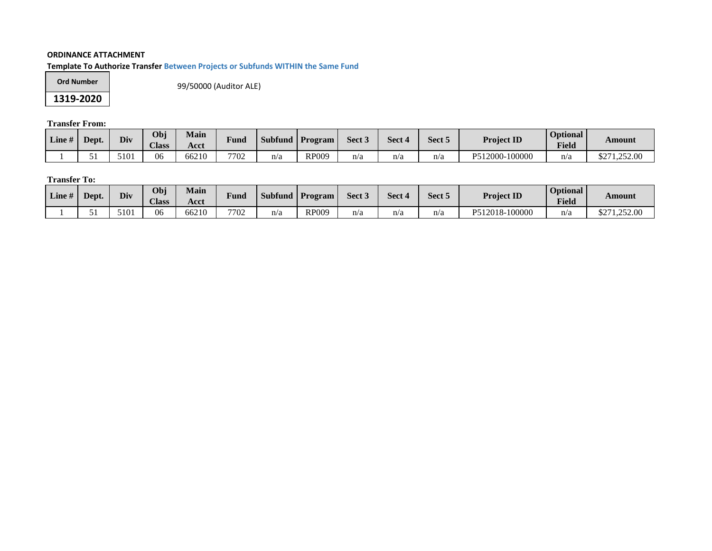## **ORDINANCE ATTACHMENT**

**Template To Authorize Transfer Between Projects or Subfunds WITHIN the Same Fund**

| Ord Number |
|------------|
| 1319-2020  |

99/50000 (Auditor ALE)

**Transfer From:**

| $\mathbf{u}$<br>Line# | Dept. | Div           | Obj<br><b>Class</b> | <b>Main</b><br>Acct | Fund | <b>Subfund</b> | $^{\prime}$ Program | Sect <sub>3</sub> | Sect 4 | Sect 5 | <b>Project ID</b>      | <b>Optional</b><br><b>Field</b> | Amount                |
|-----------------------|-------|---------------|---------------------|---------------------|------|----------------|---------------------|-------------------|--------|--------|------------------------|---------------------------------|-----------------------|
|                       |       | 5101<br>, I O | 06                  | 66210               | 7702 | n/a            | RP009               | n/a               | n/a    | n/a    | $-100000$<br>P512000-1 | n/a                             | 1,252.00<br>ሐጣ-<br>╜∠ |

# **Transfer To:**

| $\mathbf{u}$<br>Line# | Dept. | Div           | Obj<br><b>Class</b> | <b>Main</b><br>Acct | $\mathbf{r}$<br>F und | <b>Subfund</b> | <b>Program</b> | Sect <sub>3</sub> | Sect 4 | Sect 5 | <b>Project ID</b> | <b>Optional</b><br><b>Field</b> | Amount                 |
|-----------------------|-------|---------------|---------------------|---------------------|-----------------------|----------------|----------------|-------------------|--------|--------|-------------------|---------------------------------|------------------------|
|                       |       | 51 M 1<br>1 U | 06                  | 66210               | 7702                  | n/a            | <b>RP009</b>   | n/a               | n/a    | n/a    | P512018-100000    | n/a                             | ሶヘワ 1<br>1,252.00<br>◡ |